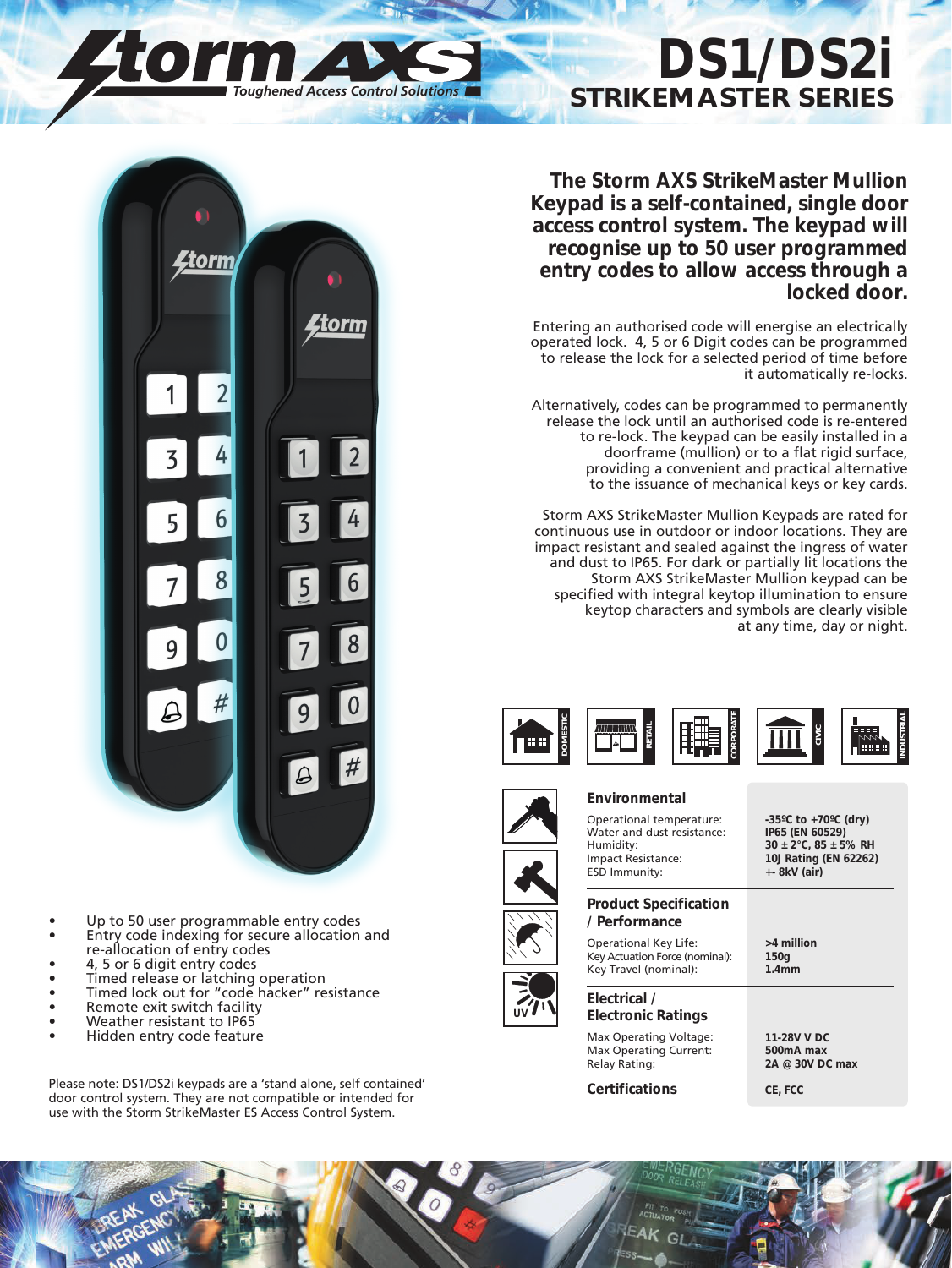## **DS1/DS2i STRIKEMASTER SERIES**

**The Storm AXS StrikeMaster Mullion Keypad is a self-contained, single door access control system. The keypad will recognise up to 50 user programmed entry codes to allow access through a locked door.**

Entering an authorised code will energise an electrically operated lock. 4, 5 or 6 Digit codes can be programmed to release the lock for a selected period of time before it automatically re-locks.

Alternatively, codes can be programmed to permanently release the lock until an authorised code is re-entered to re-lock. The keypad can be easily installed in a doorframe (mullion) or to a flat rigid surface, providing a convenient and practical alternative to the issuance of mechanical keys or key cards.

Storm AXS StrikeMaster Mullion Keypads are rated for continuous use in outdoor or indoor locations. They are impact resistant and sealed against the ingress of water and dust to IP65. For dark or partially lit locations the Storm AXS StrikeMaster Mullion keypad can be specified with integral keytop illumination to ensure keytop characters and symbols are clearly visible at any time, day or night.



## **Environmental**

Operational temperature: **-35ºC to +70ºC (dry)** Water and dust resistance:<br>Humidity: Humidity: **30** ± 2°C, 85 ± 5% RH<br>Impact Resistance: **10J Rating (EN 62262)** ESD Immunity: **+- 8kV (air) Product Specification / Performance**

Operational Key Life: **>4 million** Key Actuation Force (nominal): **150g** Key Travel (nominal):



**UV**

**Certifications CE, FCC**

10J Rating (EN 62262)



*Toughened Access Control Solutions*

- Up to 50 user programmable entry codes
- Entry code indexing for secure allocation and • re-allocation of entry codes
- 4, 5 or 6 digit entry codes
- Timed release or latching operation
- Timed lock out for "code hacker" resistance
- Remote exit switch facility
- Weather resistant to IP65
- Hidden entry code feature

Please note: DS1/DS2i keypads are a 'stand alone, self contained' door control system. They are not compatible or intended for use with the Storm StrikeMaster ES Access Control System.